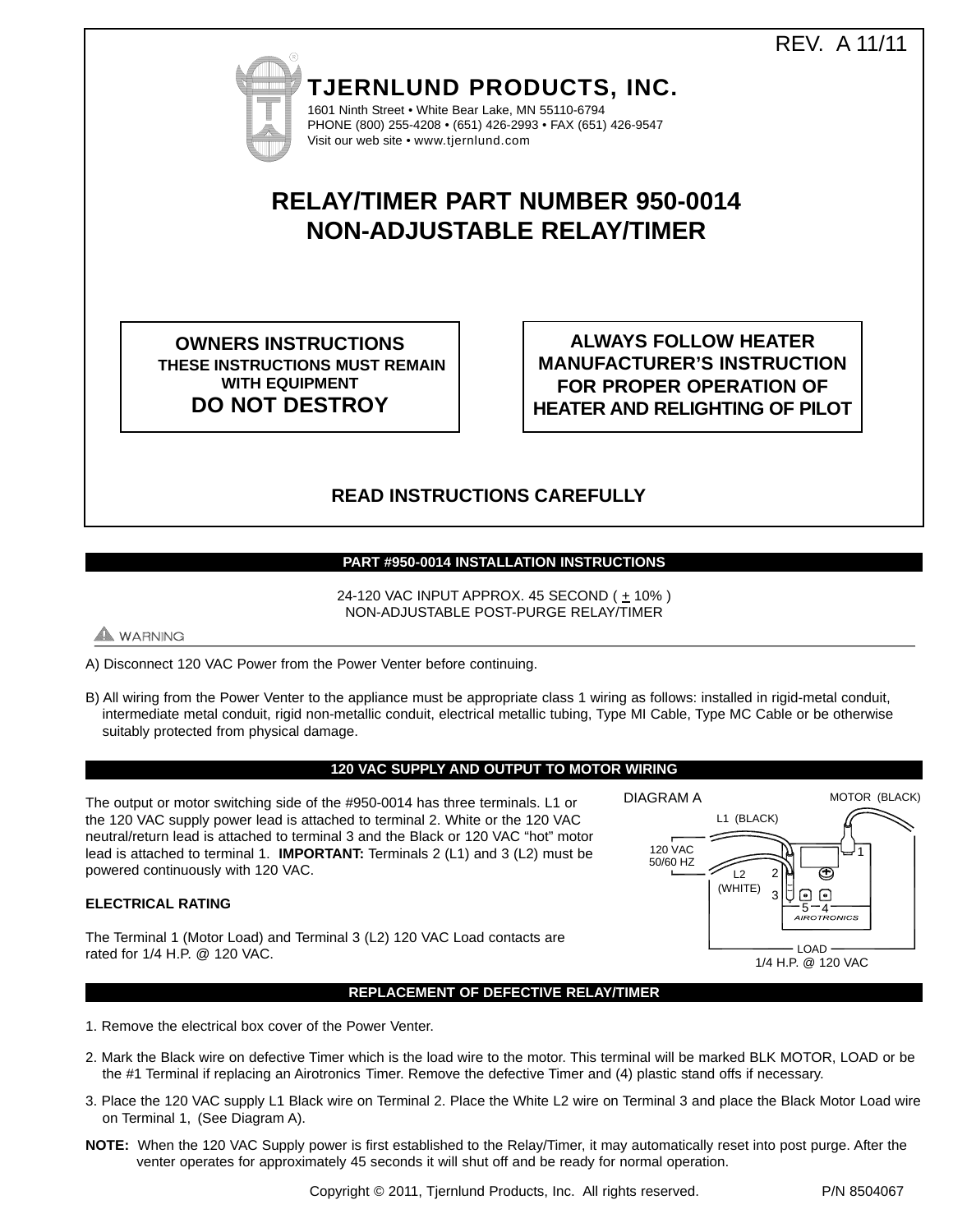REV. A 11/11



**TJERNLUND PRODUCTS, INC.** 1601 Ninth Street • White Bear Lake, MN 55110-6794 PHONE (800) 255-4208 • (651) 426-2993 • FAX (651) 426-9547

Visit our web site • www.tjernlund.com

# **RELAY/TIMER PART NUMBER 950-0014 NON-ADJUSTABLE RELAY/TIMER**

**OWNERS INSTRUCTIONS THESE INSTRUCTIONS MUST REMAIN WITH EQUIPMENT DO NOT DESTROY**

**ALWAYS FOLLOW HEATER MANUFACTURER'S INSTRUCTION FOR PROPER OPERATION OF HEATER AND RELIGHTING OF PILOT**

## **READ INSTRUCTIONS CAREFULLY**

## **PART #950-0014 INSTALLATION INSTRUCTIONS**

24-120 VAC INPUT APPROX. 45 SECOND ( ± 10% ) NON-ADJUSTABLE POST-PURGE RELAY/TIMER

**WARNING** 

- A) Disconnect 120 VAC Power from the Power Venter before continuing.
- B) All wiring from the Power Venter to the appliance must be appropriate class 1 wiring as follows: installed in rigid-metal conduit, intermediate metal conduit, rigid non-metallic conduit, electrical metallic tubing, Type MI Cable, Type MC Cable or be otherwise suitably protected from physical damage.

### **120 VAC SUPPLY AND OUTPUT TO MOTOR WIRING**

The output or motor switching side of the #950-0014 has three terminals. L1 or the 120 VAC supply power lead is attached to terminal 2. White or the 120 VAC neutral/return lead is attached to terminal 3 and the Black or 120 VAC "hot" motor lead is attached to terminal 1. **IMPORTANT:** Terminals 2 (L1) and 3 (L2) must be powered continuously with 120 VAC.

#### **ELECTRICAL RATING**

The Terminal 1 (Motor Load) and Terminal 3 (L2) 120 VAC Load contacts are rated for 1/4 H.P. @ 120 VAC.



**REPLACEMENT OF DEFECTIVE RELAY/TIMER**

- 1. Remove the electrical box cover of the Power Venter.
- 2. Mark the Black wire on defective Timer which is the load wire to the motor. This terminal will be marked BLK MOTOR, LOAD or be the #1 Terminal if replacing an Airotronics Timer. Remove the defective Timer and (4) plastic stand offs if necessary.
- 3. Place the 120 VAC supply L1 Black wire on Terminal 2. Place the White L2 wire on Terminal 3 and place the Black Motor Load wire on Terminal 1, (See Diagram A).
- **NOTE:** When the 120 VAC Supply power is first established to the Relay/Timer, it may automatically reset into post purge. After the venter operates for approximately 45 seconds it will shut off and be ready for normal operation.

Copyright © 2011, Tjernlund Products, Inc. All rights reserved. P/N 8504067